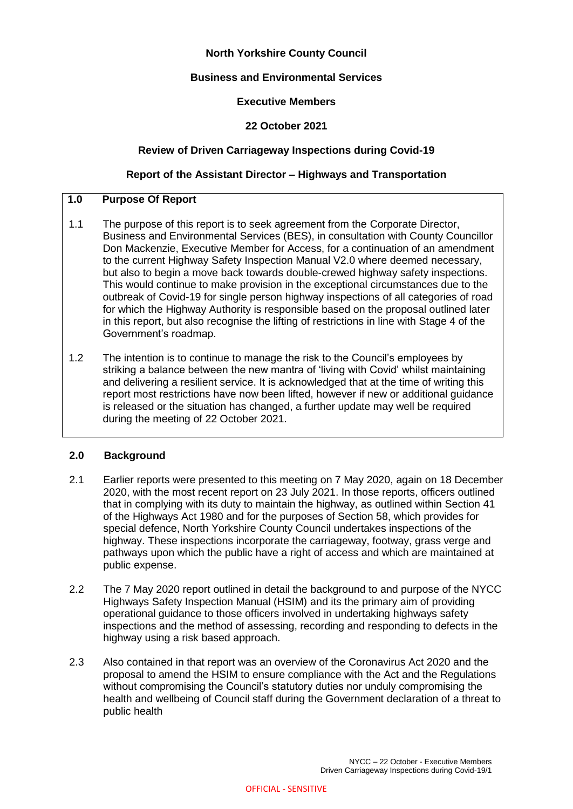# **North Yorkshire County Council**

## **Business and Environmental Services**

### **Executive Members**

### **22 October 2021**

### **Review of Driven Carriageway Inspections during Covid-19**

### **Report of the Assistant Director – Highways and Transportation**

## **1.0 Purpose Of Report**

- 1.1 The purpose of this report is to seek agreement from the Corporate Director, Business and Environmental Services (BES), in consultation with County Councillor Don Mackenzie, Executive Member for Access, for a continuation of an amendment to the current Highway Safety Inspection Manual V2.0 where deemed necessary, but also to begin a move back towards double-crewed highway safety inspections. This would continue to make provision in the exceptional circumstances due to the outbreak of Covid-19 for single person highway inspections of all categories of road for which the Highway Authority is responsible based on the proposal outlined later in this report, but also recognise the lifting of restrictions in line with Stage 4 of the Government's roadmap.
- 1.2 The intention is to continue to manage the risk to the Council's employees by striking a balance between the new mantra of 'living with Covid' whilst maintaining and delivering a resilient service. It is acknowledged that at the time of writing this report most restrictions have now been lifted, however if new or additional guidance is released or the situation has changed, a further update may well be required during the meeting of 22 October 2021.

### **2.0 Background**

- 2.1 Earlier reports were presented to this meeting on 7 May 2020, again on 18 December 2020, with the most recent report on 23 July 2021. In those reports, officers outlined that in complying with its duty to maintain the highway, as outlined within Section 41 of the Highways Act 1980 and for the purposes of Section 58, which provides for special defence, North Yorkshire County Council undertakes inspections of the highway. These inspections incorporate the carriageway, footway, grass verge and pathways upon which the public have a right of access and which are maintained at public expense.
- 2.2 The 7 May 2020 report outlined in detail the background to and purpose of the NYCC Highways Safety Inspection Manual (HSIM) and its the primary aim of providing operational guidance to those officers involved in undertaking highways safety inspections and the method of assessing, recording and responding to defects in the highway using a risk based approach.
- 2.3 Also contained in that report was an overview of the Coronavirus Act 2020 and the proposal to amend the HSIM to ensure compliance with the Act and the Regulations without compromising the Council's statutory duties nor unduly compromising the health and wellbeing of Council staff during the Government declaration of a threat to public health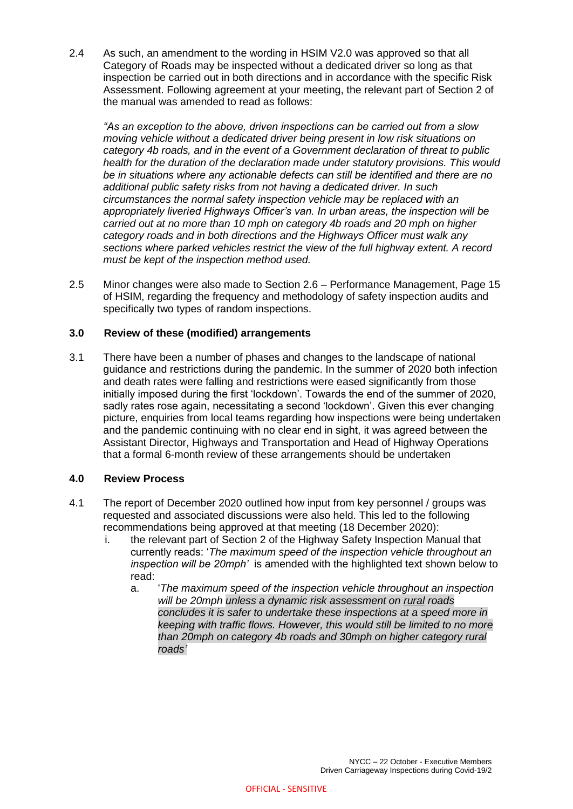2.4 As such, an amendment to the wording in HSIM V2.0 was approved so that all Category of Roads may be inspected without a dedicated driver so long as that inspection be carried out in both directions and in accordance with the specific Risk Assessment. Following agreement at your meeting, the relevant part of Section 2 of the manual was amended to read as follows:

*"As an exception to the above, driven inspections can be carried out from a slow moving vehicle without a dedicated driver being present in low risk situations on category 4b roads, and in the event of a Government declaration of threat to public health for the duration of the declaration made under statutory provisions. This would be in situations where any actionable defects can still be identified and there are no additional public safety risks from not having a dedicated driver. In such circumstances the normal safety inspection vehicle may be replaced with an appropriately liveried Highways Officer's van. In urban areas, the inspection will be carried out at no more than 10 mph on category 4b roads and 20 mph on higher category roads and in both directions and the Highways Officer must walk any sections where parked vehicles restrict the view of the full highway extent. A record must be kept of the inspection method used.*

2.5 Minor changes were also made to Section 2.6 – Performance Management, Page 15 of HSIM, regarding the frequency and methodology of safety inspection audits and specifically two types of random inspections.

### **3.0 Review of these (modified) arrangements**

3.1 There have been a number of phases and changes to the landscape of national guidance and restrictions during the pandemic. In the summer of 2020 both infection and death rates were falling and restrictions were eased significantly from those initially imposed during the first 'lockdown'. Towards the end of the summer of 2020, sadly rates rose again, necessitating a second 'lockdown'. Given this ever changing picture, enquiries from local teams regarding how inspections were being undertaken and the pandemic continuing with no clear end in sight, it was agreed between the Assistant Director, Highways and Transportation and Head of Highway Operations that a formal 6-month review of these arrangements should be undertaken

### **4.0 Review Process**

- 4.1 The report of December 2020 outlined how input from key personnel / groups was requested and associated discussions were also held. This led to the following recommendations being approved at that meeting (18 December 2020):
	- i. the relevant part of Section 2 of the Highway Safety Inspection Manual that currently reads: '*The maximum speed of the inspection vehicle throughout an inspection will be 20mph'* is amended with the highlighted text shown below to read:
		- a. '*The maximum speed of the inspection vehicle throughout an inspection will be 20mph unless a dynamic risk assessment on rural roads concludes it is safer to undertake these inspections at a speed more in keeping with traffic flows. However, this would still be limited to no more than 20mph on category 4b roads and 30mph on higher category rural roads'*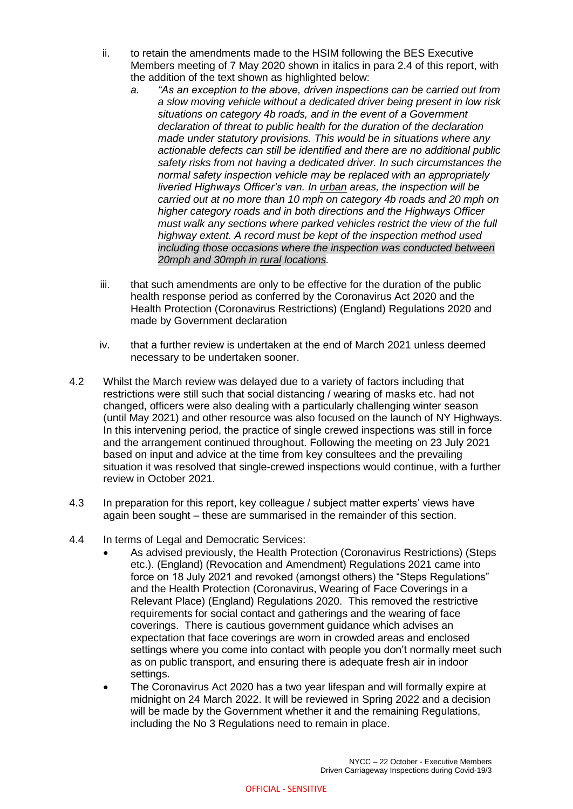- ii. to retain the amendments made to the HSIM following the BES Executive Members meeting of 7 May 2020 shown in italics in para 2.4 of this report, with the addition of the text shown as highlighted below:
	- *a. "As an exception to the above, driven inspections can be carried out from a slow moving vehicle without a dedicated driver being present in low risk situations on category 4b roads, and in the event of a Government declaration of threat to public health for the duration of the declaration made under statutory provisions. This would be in situations where any actionable defects can still be identified and there are no additional public safety risks from not having a dedicated driver. In such circumstances the normal safety inspection vehicle may be replaced with an appropriately liveried Highways Officer's van. In urban areas, the inspection will be carried out at no more than 10 mph on category 4b roads and 20 mph on higher category roads and in both directions and the Highways Officer must walk any sections where parked vehicles restrict the view of the full highway extent. A record must be kept of the inspection method used including those occasions where the inspection was conducted between 20mph and 30mph in rural locations.*
- iii. that such amendments are only to be effective for the duration of the public health response period as conferred by the Coronavirus Act 2020 and the Health Protection (Coronavirus Restrictions) (England) Regulations 2020 and made by Government declaration
- iv. that a further review is undertaken at the end of March 2021 unless deemed necessary to be undertaken sooner.
- 4.2 Whilst the March review was delayed due to a variety of factors including that restrictions were still such that social distancing / wearing of masks etc. had not changed, officers were also dealing with a particularly challenging winter season (until May 2021) and other resource was also focused on the launch of NY Highways. In this intervening period, the practice of single crewed inspections was still in force and the arrangement continued throughout. Following the meeting on 23 July 2021 based on input and advice at the time from key consultees and the prevailing situation it was resolved that single-crewed inspections would continue, with a further review in October 2021.
- 4.3 In preparation for this report, key colleague / subject matter experts' views have again been sought – these are summarised in the remainder of this section.
- 4.4 In terms of Legal and Democratic Services:
	- As advised previously, the Health Protection (Coronavirus Restrictions) (Steps etc.). (England) (Revocation and Amendment) Regulations 2021 came into force on 18 July 2021 and revoked (amongst others) the "Steps Regulations" and the Health Protection (Coronavirus, Wearing of Face Coverings in a Relevant Place) (England) Regulations 2020. This removed the restrictive requirements for social contact and gatherings and the wearing of face coverings. There is cautious government guidance which advises an expectation that face coverings are worn in crowded areas and enclosed settings where you come into contact with people you don't normally meet such as on public transport, and ensuring there is adequate fresh air in indoor settings.
	- The Coronavirus Act 2020 has a two year lifespan and will formally expire at midnight on 24 March 2022. It will be reviewed in Spring 2022 and a decision will be made by the Government whether it and the remaining Regulations, including the No 3 Regulations need to remain in place.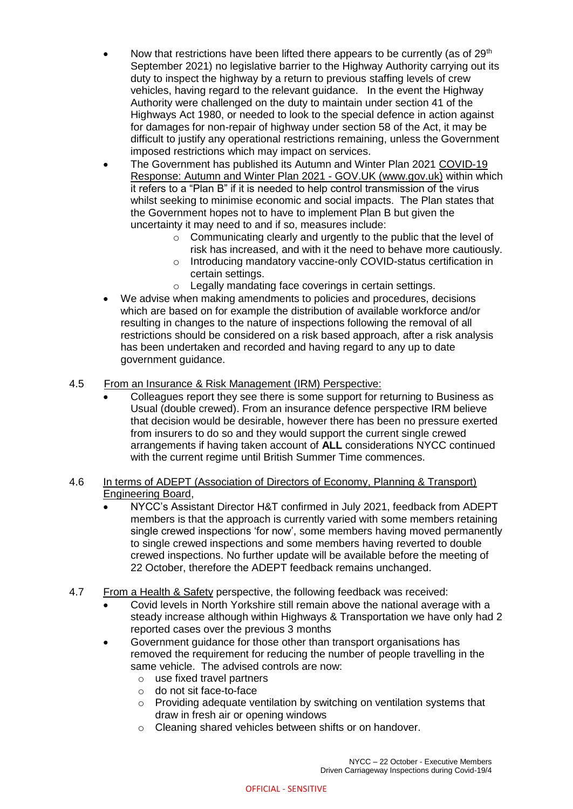- Now that restrictions have been lifted there appears to be currently (as of  $29<sup>th</sup>$ ) September 2021) no legislative barrier to the Highway Authority carrying out its duty to inspect the highway by a return to previous staffing levels of crew vehicles, having regard to the relevant guidance. In the event the Highway Authority were challenged on the duty to maintain under section 41 of the Highways Act 1980, or needed to look to the special defence in action against for damages for non-repair of highway under section 58 of the Act, it may be difficult to justify any operational restrictions remaining, unless the Government imposed restrictions which may impact on services.
- The Government has published its Autumn and Winter Plan 2021 [COVID-19](https://www.gov.uk/government/publications/covid-19-response-autumn-and-winter-plan-2021)  [Response: Autumn and Winter Plan 2021 -](https://www.gov.uk/government/publications/covid-19-response-autumn-and-winter-plan-2021) GOV.UK (www.gov.uk) within which it refers to a "Plan B" if it is needed to help control transmission of the virus whilst seeking to minimise economic and social impacts. The Plan states that the Government hopes not to have to implement Plan B but given the uncertainty it may need to and if so, measures include:
	- $\circ$  Communicating clearly and urgently to the public that the level of risk has increased, and with it the need to behave more cautiously.
	- o Introducing mandatory vaccine-only COVID-status certification in certain settings.
	- o Legally mandating face coverings in certain settings.
- We advise when making amendments to policies and procedures, decisions which are based on for example the distribution of available workforce and/or resulting in changes to the nature of inspections following the removal of all restrictions should be considered on a risk based approach, after a risk analysis has been undertaken and recorded and having regard to any up to date government guidance.

## 4.5 From an Insurance & Risk Management (IRM) Perspective:

 Colleagues report they see there is some support for returning to Business as Usual (double crewed). From an insurance defence perspective IRM believe that decision would be desirable, however there has been no pressure exerted from insurers to do so and they would support the current single crewed arrangements if having taken account of **ALL** considerations NYCC continued with the current regime until British Summer Time commences.

### 4.6 In terms of ADEPT (Association of Directors of Economy, Planning & Transport) Engineering Board,

- NYCC's Assistant Director H&T confirmed in July 2021, feedback from ADEPT members is that the approach is currently varied with some members retaining single crewed inspections 'for now', some members having moved permanently to single crewed inspections and some members having reverted to double crewed inspections. No further update will be available before the meeting of 22 October, therefore the ADEPT feedback remains unchanged.
- 4.7 From a Health & Safety perspective, the following feedback was received:
	- Covid levels in North Yorkshire still remain above the national average with a steady increase although within Highways & Transportation we have only had 2 reported cases over the previous 3 months
	- Government guidance for those other than transport organisations has removed the requirement for reducing the number of people travelling in the same vehicle. The advised controls are now:
		- o use fixed travel partners
		- o do not sit face-to-face
		- o Providing adequate ventilation by switching on ventilation systems that draw in fresh air or opening windows
		- o Cleaning shared vehicles between shifts or on handover.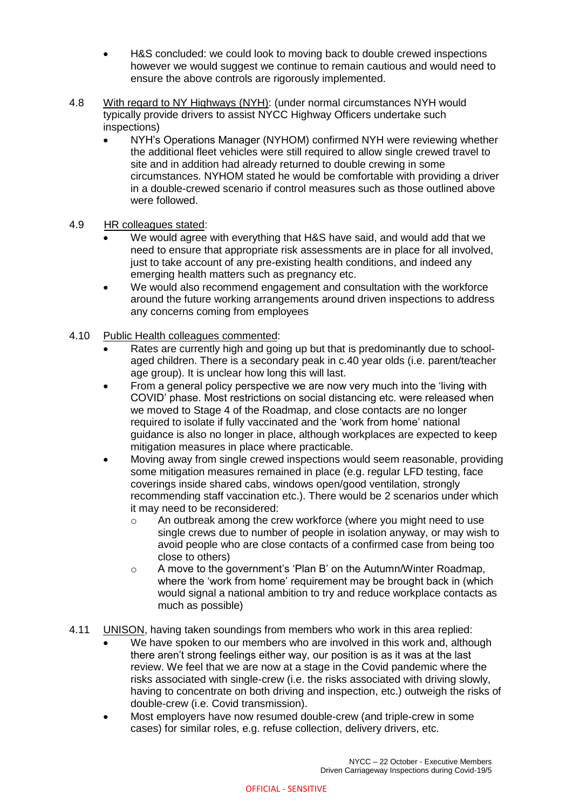- H&S concluded: we could look to moving back to double crewed inspections however we would suggest we continue to remain cautious and would need to ensure the above controls are rigorously implemented.
- 4.8 With regard to NY Highways (NYH): (under normal circumstances NYH would typically provide drivers to assist NYCC Highway Officers undertake such inspections)
	- NYH's Operations Manager (NYHOM) confirmed NYH were reviewing whether the additional fleet vehicles were still required to allow single crewed travel to site and in addition had already returned to double crewing in some circumstances. NYHOM stated he would be comfortable with providing a driver in a double-crewed scenario if control measures such as those outlined above were followed.

## 4.9 HR colleagues stated:

- We would agree with everything that H&S have said, and would add that we need to ensure that appropriate risk assessments are in place for all involved, just to take account of any pre-existing health conditions, and indeed any emerging health matters such as pregnancy etc.
- We would also recommend engagement and consultation with the workforce around the future working arrangements around driven inspections to address any concerns coming from employees
- 4.10 Public Health colleagues commented:
	- Rates are currently high and going up but that is predominantly due to schoolaged children. There is a secondary peak in c.40 year olds (i.e. parent/teacher age group). It is unclear how long this will last.
	- From a general policy perspective we are now very much into the 'living with COVID' phase. Most restrictions on social distancing etc. were released when we moved to Stage 4 of the Roadmap, and close contacts are no longer required to isolate if fully vaccinated and the 'work from home' national guidance is also no longer in place, although workplaces are expected to keep mitigation measures in place where practicable.
	- Moving away from single crewed inspections would seem reasonable, providing some mitigation measures remained in place (e.g. regular LFD testing, face coverings inside shared cabs, windows open/good ventilation, strongly recommending staff vaccination etc.). There would be 2 scenarios under which it may need to be reconsidered:
		- o An outbreak among the crew workforce (where you might need to use single crews due to number of people in isolation anyway, or may wish to avoid people who are close contacts of a confirmed case from being too close to others)
		- o A move to the government's 'Plan B' on the Autumn/Winter Roadmap, where the 'work from home' requirement may be brought back in (which would signal a national ambition to try and reduce workplace contacts as much as possible)
- 4.11 UNISON, having taken soundings from members who work in this area replied:
	- We have spoken to our members who are involved in this work and, although there aren't strong feelings either way, our position is as it was at the last review. We feel that we are now at a stage in the Covid pandemic where the risks associated with single-crew (i.e. the risks associated with driving slowly, having to concentrate on both driving and inspection, etc.) outweigh the risks of double-crew (i.e. Covid transmission).
	- Most employers have now resumed double-crew (and triple-crew in some cases) for similar roles, e.g. refuse collection, delivery drivers, etc.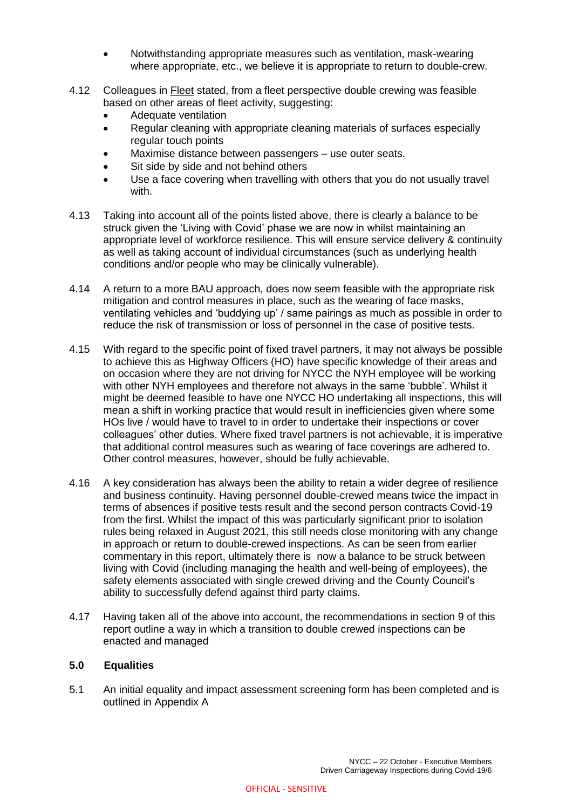- Notwithstanding appropriate measures such as ventilation, mask-wearing where appropriate, etc., we believe it is appropriate to return to double-crew.
- 4.12 Colleagues in Fleet stated, from a fleet perspective double crewing was feasible based on other areas of fleet activity, suggesting:
	- Adequate ventilation
	- Regular cleaning with appropriate cleaning materials of surfaces especially regular touch points
	- Maximise distance between passengers use outer seats.
	- Sit side by side and not behind others
	- Use a face covering when travelling with others that you do not usually travel with.
- 4.13 Taking into account all of the points listed above, there is clearly a balance to be struck given the 'Living with Covid' phase we are now in whilst maintaining an appropriate level of workforce resilience. This will ensure service delivery & continuity as well as taking account of individual circumstances (such as underlying health conditions and/or people who may be clinically vulnerable).
- 4.14 A return to a more BAU approach, does now seem feasible with the appropriate risk mitigation and control measures in place, such as the wearing of face masks, ventilating vehicles and 'buddying up' / same pairings as much as possible in order to reduce the risk of transmission or loss of personnel in the case of positive tests.
- 4.15 With regard to the specific point of fixed travel partners, it may not always be possible to achieve this as Highway Officers (HO) have specific knowledge of their areas and on occasion where they are not driving for NYCC the NYH employee will be working with other NYH employees and therefore not always in the same 'bubble'. Whilst it might be deemed feasible to have one NYCC HO undertaking all inspections, this will mean a shift in working practice that would result in inefficiencies given where some HOs live / would have to travel to in order to undertake their inspections or cover colleagues' other duties. Where fixed travel partners is not achievable, it is imperative that additional control measures such as wearing of face coverings are adhered to. Other control measures, however, should be fully achievable.
- 4.16 A key consideration has always been the ability to retain a wider degree of resilience and business continuity. Having personnel double-crewed means twice the impact in terms of absences if positive tests result and the second person contracts Covid-19 from the first. Whilst the impact of this was particularly significant prior to isolation rules being relaxed in August 2021, this still needs close monitoring with any change in approach or return to double-crewed inspections. As can be seen from earlier commentary in this report, ultimately there is now a balance to be struck between living with Covid (including managing the health and well-being of employees), the safety elements associated with single crewed driving and the County Council's ability to successfully defend against third party claims.
- 4.17 Having taken all of the above into account, the recommendations in section 9 of this report outline a way in which a transition to double crewed inspections can be enacted and managed

#### **5.0 Equalities**

5.1 An initial equality and impact assessment screening form has been completed and is outlined in Appendix A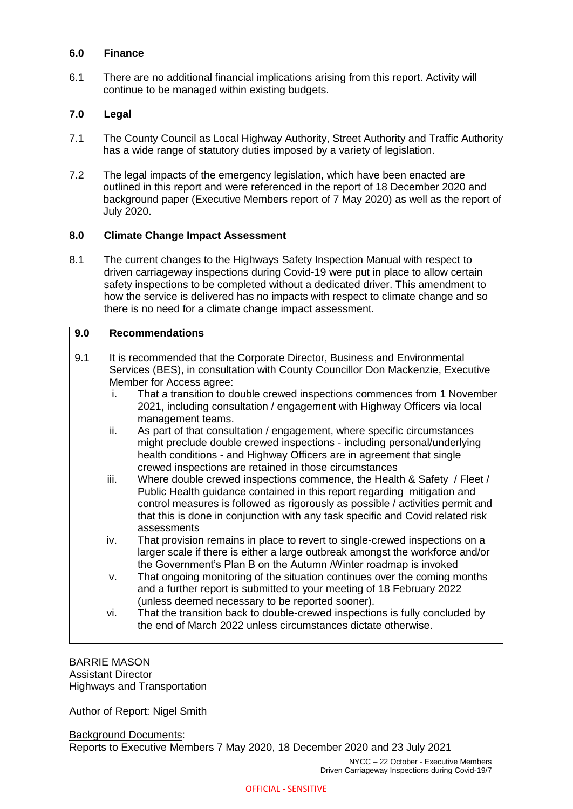### **6.0 Finance**

6.1 There are no additional financial implications arising from this report. Activity will continue to be managed within existing budgets.

### **7.0 Legal**

- 7.1 The County Council as Local Highway Authority, Street Authority and Traffic Authority has a wide range of statutory duties imposed by a variety of legislation.
- 7.2 The legal impacts of the emergency legislation, which have been enacted are outlined in this report and were referenced in the report of 18 December 2020 and background paper (Executive Members report of 7 May 2020) as well as the report of July 2020.

#### **8.0 Climate Change Impact Assessment**

8.1 The current changes to the Highways Safety Inspection Manual with respect to driven carriageway inspections during Covid-19 were put in place to allow certain safety inspections to be completed without a dedicated driver. This amendment to how the service is delivered has no impacts with respect to climate change and so there is no need for a climate change impact assessment.

### **9.0 Recommendations**

- 9.1 It is recommended that the Corporate Director, Business and Environmental Services (BES), in consultation with County Councillor Don Mackenzie, Executive Member for Access agree:
	- i. That a transition to double crewed inspections commences from 1 November 2021, including consultation / engagement with Highway Officers via local management teams.
	- ii. As part of that consultation / engagement, where specific circumstances might preclude double crewed inspections - including personal/underlying health conditions - and Highway Officers are in agreement that single crewed inspections are retained in those circumstances
	- iii. Where double crewed inspections commence, the Health & Safety / Fleet / Public Health guidance contained in this report regarding mitigation and control measures is followed as rigorously as possible / activities permit and that this is done in conjunction with any task specific and Covid related risk assessments
	- iv. That provision remains in place to revert to single-crewed inspections on a larger scale if there is either a large outbreak amongst the workforce and/or the Government's Plan B on the Autumn /Winter roadmap is invoked
	- v. That ongoing monitoring of the situation continues over the coming months and a further report is submitted to your meeting of 18 February 2022 (unless deemed necessary to be reported sooner).
	- vi. That the transition back to double-crewed inspections is fully concluded by the end of March 2022 unless circumstances dictate otherwise.

#### BARRIE MASON Assistant Director Highways and Transportation

Author of Report: Nigel Smith

Background Documents: Reports to Executive Members 7 May 2020, 18 December 2020 and 23 July 2021

> NYCC – 22 October - Executive Members Driven Carriageway Inspections during Covid-19/7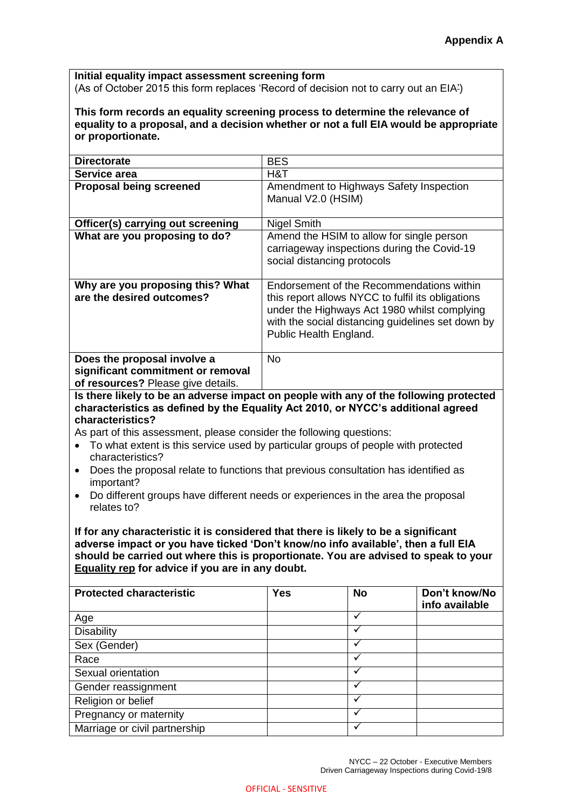**Initial equality impact assessment screening form** (As of October 2015 this form replaces 'Record of decision not to carry out an EIA')

**This form records an equality screening process to determine the relevance of equality to a proposal, and a decision whether or not a full EIA would be appropriate or proportionate.**

| <b>Directorate</b>                                                                                     | <b>BES</b>                                                                                                                                                                                                                    |  |  |  |  |
|--------------------------------------------------------------------------------------------------------|-------------------------------------------------------------------------------------------------------------------------------------------------------------------------------------------------------------------------------|--|--|--|--|
| Service area                                                                                           | H&T                                                                                                                                                                                                                           |  |  |  |  |
| <b>Proposal being screened</b>                                                                         | Amendment to Highways Safety Inspection<br>Manual V2.0 (HSIM)                                                                                                                                                                 |  |  |  |  |
| Officer(s) carrying out screening                                                                      | <b>Nigel Smith</b>                                                                                                                                                                                                            |  |  |  |  |
| What are you proposing to do?                                                                          | Amend the HSIM to allow for single person<br>carriageway inspections during the Covid-19<br>social distancing protocols                                                                                                       |  |  |  |  |
| Why are you proposing this? What<br>are the desired outcomes?                                          | Endorsement of the Recommendations within<br>this report allows NYCC to fulfil its obligations<br>under the Highways Act 1980 whilst complying<br>with the social distancing guidelines set down by<br>Public Health England. |  |  |  |  |
| Does the proposal involve a<br>significant commitment or removal<br>of resources? Please give details. | <b>No</b>                                                                                                                                                                                                                     |  |  |  |  |

**Is there likely to be an adverse impact on people with any of the following protected characteristics as defined by the Equality Act 2010, or NYCC's additional agreed characteristics?**

As part of this assessment, please consider the following questions:

- To what extent is this service used by particular groups of people with protected characteristics?
- Does the proposal relate to functions that previous consultation has identified as important?
- Do different groups have different needs or experiences in the area the proposal relates to?

**If for any characteristic it is considered that there is likely to be a significant adverse impact or you have ticked 'Don't know/no info available', then a full EIA should be carried out where this is proportionate. You are advised to speak to your [Equality rep](http://nyccintranet/content/equalities-contacts) for advice if you are in any doubt.**

| <b>Protected characteristic</b> | <b>Yes</b> | <b>No</b> | Don't know/No<br>info available |
|---------------------------------|------------|-----------|---------------------------------|
| Age                             |            |           |                                 |
| <b>Disability</b>               |            |           |                                 |
| Sex (Gender)                    |            |           |                                 |
| Race                            |            | ✓         |                                 |
| Sexual orientation              |            |           |                                 |
| Gender reassignment             |            |           |                                 |
| Religion or belief              |            |           |                                 |
| Pregnancy or maternity          |            |           |                                 |
| Marriage or civil partnership   |            |           |                                 |